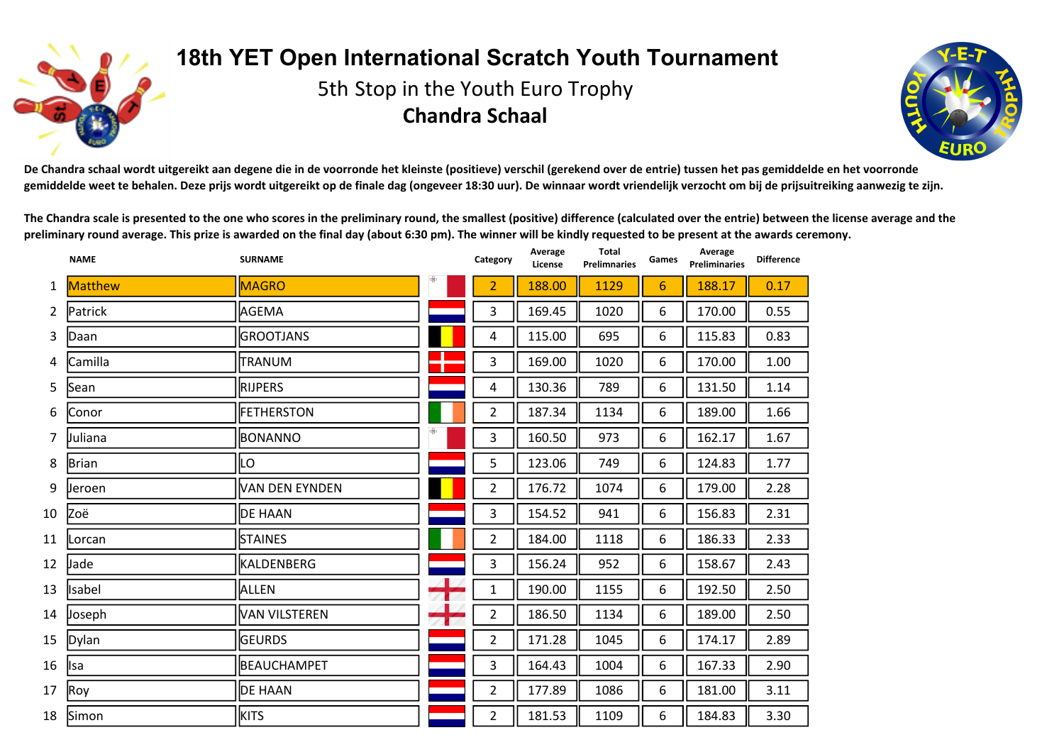

## **18th YET Open International Scratch Youth Tournament**

5th Stop in the Youth Euro Trophy **Chandra Schaal**



De Chandra schaal wordt uitgereikt aan degene die in de voorronde het kleinste (positieve) verschil (gerekend over de entrie) tussen het pas gemiddelde en het voorronde gemiddelde weet te behalen. Deze prijs wordt uitgereikt op de finale dag (ongeveer 18:30 uur). De winnaar wordt vriendelijk verzocht om bij de prijsuitreiking aanwezig te zijn.

The Chandra scale is presented to the one who scores in the preliminary round, the smallest (positive) difference (calculated over the entrie) between the license average and the preliminary round average. This prize is awarded on the final day (about 6:30 pm). The winner will be kindly requested to be present at the awards ceremony.

|                | <b>NAME</b>    | <b>SURNAME</b>       |   | Category       | Average<br>License | Total<br><b>Prelimnaries</b> | Games           | Average<br><b>Preliminaries</b> | <b>Difference</b> |
|----------------|----------------|----------------------|---|----------------|--------------------|------------------------------|-----------------|---------------------------------|-------------------|
| 1              | <b>Matthew</b> | <b>MAGRO</b>         |   | $\overline{2}$ | 188.00             | 1129                         | $6\phantom{1}6$ | 188.17                          | 0.17              |
| $\overline{2}$ | Patrick        | AGEMA                |   | 3              | 169.45             | 1020                         | 6               | 170.00                          | 0.55              |
| 3              | Daan           | <b>GROOTJANS</b>     |   | 4              | 115.00             | 695                          | 6               | 115.83                          | 0.83              |
| 4              | Camilla        | TRANUM               |   | $\mathsf{3}$   | 169.00             | 1020                         | 6               | 170.00                          | 1.00              |
| 5              | Sean           | <b>RIJPERS</b>       |   | $\overline{4}$ | 130.36             | 789                          | 6               | 131.50                          | 1.14              |
| 6              | Conor          | <b>FETHERSTON</b>    |   | $\overline{2}$ | 187.34             | 1134                         | 6               | 189.00                          | 1.66              |
| 7              | Juliana        | BONANNO              | ⊕ | $\mathbf{3}$   | 160.50             | 973                          | 6               | 162.17                          | 1.67              |
| 8              | Brian          | LO                   |   | 5              | 123.06             | 749                          | 6               | 124.83                          | 1.77              |
| 9              | Jeroen         | VAN DEN EYNDEN       |   | $\overline{2}$ | 176.72             | 1074                         | 6               | 179.00                          | 2.28              |
| 10             | Zoë            | <b>DE HAAN</b>       |   | $\mathbf{3}$   | 154.52             | 941                          | 6               | 156.83                          | 2.31              |
| 11             | Lorcan         | <b>STAINES</b>       |   | $\overline{2}$ | 184.00             | 1118                         | 6               | 186.33                          | 2.33              |
| 12             | Jade           | KALDENBERG           |   | $\mathbf{3}$   | 156.24             | 952                          | 6               | 158.67                          | 2.43              |
| 13             | Isabel         | ALLEN                |   | $\mathbf{1}$   | 190.00             | 1155                         | 6               | 192.50                          | 2.50              |
| 14             | Joseph         | <b>VAN VILSTEREN</b> |   | $\overline{2}$ | 186.50             | 1134                         | 6               | 189.00                          | 2.50              |
| 15             | Dylan          | <b>GEURDS</b>        |   | $\overline{2}$ | 171.28             | 1045                         | 6               | 174.17                          | 2.89              |
| 16             | <b>Isa</b>     | <b>BEAUCHAMPET</b>   |   | $\overline{3}$ | 164.43             | 1004                         | 6               | 167.33                          | 2.90              |
| 17             | Roy            | <b>DE HAAN</b>       |   | $\overline{2}$ | 177.89             | 1086                         | 6               | 181.00                          | 3.11              |
| 18             | Simon          | <b>KITS</b>          |   | $\overline{2}$ | 181.53             | 1109                         | 6               | 184.83                          | 3.30              |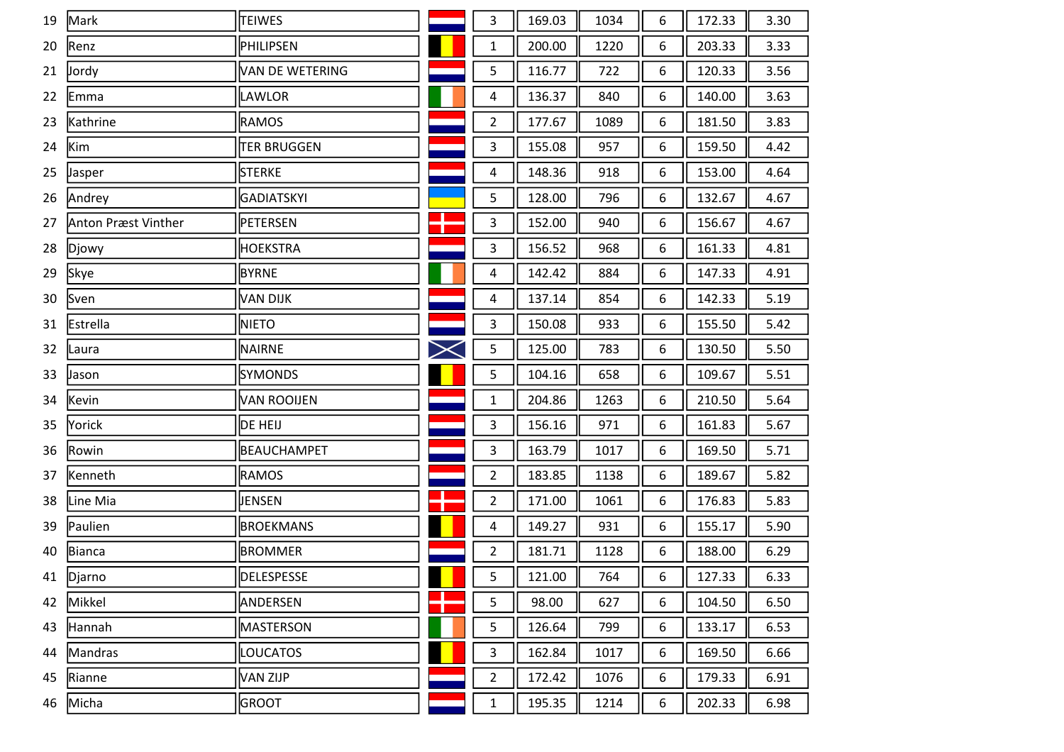| 19 | Mark                | <b>TEIWES</b>          |               | 3              | 169.03 | 1034 | 6 | 172.33 | 3.30 |
|----|---------------------|------------------------|---------------|----------------|--------|------|---|--------|------|
| 20 | Renz                | PHILIPSEN              |               | $\mathbf{1}$   | 200.00 | 1220 | 6 | 203.33 | 3.33 |
| 21 | Jordy               | <b>VAN DE WETERING</b> |               | 5              | 116.77 | 722  | 6 | 120.33 | 3.56 |
| 22 | Emma                | LAWLOR                 |               | 4              | 136.37 | 840  | 6 | 140.00 | 3.63 |
| 23 | Kathrine            | <b>RAMOS</b>           |               | $\overline{2}$ | 177.67 | 1089 | 6 | 181.50 | 3.83 |
| 24 | Kim                 | <b>TER BRUGGEN</b>     |               | 3              | 155.08 | 957  | 6 | 159.50 | 4.42 |
| 25 | Jasper              | <b>STERKE</b>          |               | 4              | 148.36 | 918  | 6 | 153.00 | 4.64 |
| 26 | Andrey              | GADIATSKYI             |               | 5              | 128.00 | 796  | 6 | 132.67 | 4.67 |
| 27 | Anton Præst Vinther | PETERSEN               |               | 3              | 152.00 | 940  | 6 | 156.67 | 4.67 |
| 28 | Djowy               | <b>HOEKSTRA</b>        |               | 3              | 156.52 | 968  | 6 | 161.33 | 4.81 |
| 29 | Skye                | <b>BYRNE</b>           |               | 4              | 142.42 | 884  | 6 | 147.33 | 4.91 |
| 30 | Sven                | VAN DIJK               |               | 4              | 137.14 | 854  | 6 | 142.33 | 5.19 |
| 31 | Estrella            | <b>NIETO</b>           |               | 3              | 150.08 | 933  | 6 | 155.50 | 5.42 |
| 32 | Laura               | <b>NAIRNE</b>          | $\bm{\times}$ | 5              | 125.00 | 783  | 6 | 130.50 | 5.50 |
| 33 | Jason               | <b>SYMONDS</b>         |               | 5              | 104.16 | 658  | 6 | 109.67 | 5.51 |
| 34 | Kevin               | <b>VAN ROOIJEN</b>     |               | $\mathbf{1}$   | 204.86 | 1263 | 6 | 210.50 | 5.64 |
| 35 | Yorick              | DE HEIJ                |               | 3              | 156.16 | 971  | 6 | 161.83 | 5.67 |
| 36 | Rowin               | <b>BEAUCHAMPET</b>     |               | 3              | 163.79 | 1017 | 6 | 169.50 | 5.71 |
| 37 | Kenneth             | <b>RAMOS</b>           |               | $\overline{2}$ | 183.85 | 1138 | 6 | 189.67 | 5.82 |
| 38 | Line Mia            | JENSEN                 |               | $\overline{2}$ | 171.00 | 1061 | 6 | 176.83 | 5.83 |
| 39 | Paulien             | <b>BROEKMANS</b>       |               | 4              | 149.27 | 931  | 6 | 155.17 | 5.90 |
| 40 | Bianca              | <b>BROMMER</b>         |               | $\overline{2}$ | 181.71 | 1128 | 6 | 188.00 | 6.29 |
|    | 41 Djarno           | <b>DELESPESSE</b>      |               | 5              | 121.00 | 764  | 6 | 127.33 | 6.33 |
| 42 | Mikkel              | ANDERSEN               |               | 5              | 98.00  | 627  | 6 | 104.50 | 6.50 |
| 43 | Hannah              | MASTERSON              |               | 5              | 126.64 | 799  | 6 | 133.17 | 6.53 |
| 44 | Mandras             | LOUCATOS               |               | 3              | 162.84 | 1017 | 6 | 169.50 | 6.66 |
| 45 | Rianne              | <b>VAN ZIJP</b>        |               | $\overline{2}$ | 172.42 | 1076 | 6 | 179.33 | 6.91 |
| 46 | Micha               | <b>GROOT</b>           |               | $\mathbf{1}$   | 195.35 | 1214 | 6 | 202.33 | 6.98 |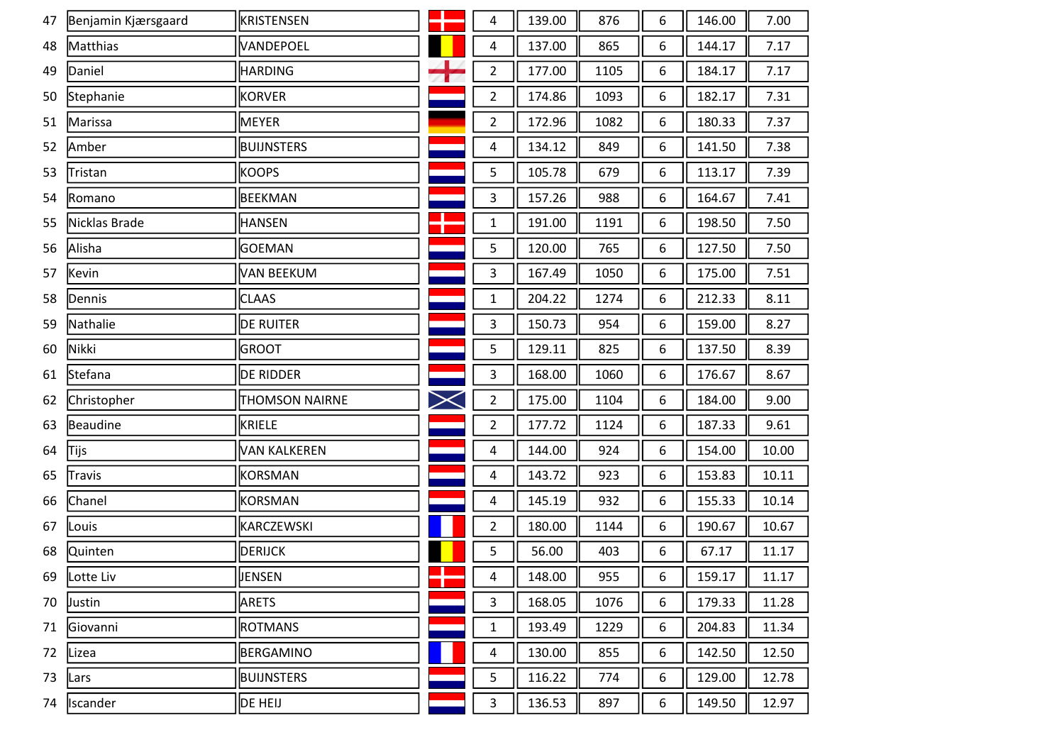| 47 | Benjamin Kjærsgaard | KRISTENSEN            |                   | 4                       | 139.00 | 876  | 6 | 146.00 | 7.00  |
|----|---------------------|-----------------------|-------------------|-------------------------|--------|------|---|--------|-------|
| 48 | Matthias            | VANDEPOEL             |                   | 4                       | 137.00 | 865  | 6 | 144.17 | 7.17  |
| 49 | Daniel              | <b>HARDING</b>        | $\leftrightarrow$ | $\overline{2}$          | 177.00 | 1105 | 6 | 184.17 | 7.17  |
| 50 | Stephanie           | <b>KORVER</b>         |                   | $\overline{2}$          | 174.86 | 1093 | 6 | 182.17 | 7.31  |
| 51 | Marissa             | <b>MEYER</b>          |                   | $\overline{2}$          | 172.96 | 1082 | 6 | 180.33 | 7.37  |
| 52 | Amber               | <b>BUIJNSTERS</b>     |                   | 4                       | 134.12 | 849  | 6 | 141.50 | 7.38  |
| 53 | Tristan             | <b>KOOPS</b>          |                   | 5                       | 105.78 | 679  | 6 | 113.17 | 7.39  |
| 54 | Romano              | <b>BEEKMAN</b>        |                   | 3                       | 157.26 | 988  | 6 | 164.67 | 7.41  |
| 55 | Nicklas Brade       | <b>HANSEN</b>         |                   | $\mathbf 1$             | 191.00 | 1191 | 6 | 198.50 | 7.50  |
| 56 | Alisha              | <b>GOEMAN</b>         |                   | 5                       | 120.00 | 765  | 6 | 127.50 | 7.50  |
| 57 | Kevin               | VAN BEEKUM            |                   | 3                       | 167.49 | 1050 | 6 | 175.00 | 7.51  |
| 58 | Dennis              | <b>CLAAS</b>          |                   | $\mathbf{1}$            | 204.22 | 1274 | 6 | 212.33 | 8.11  |
| 59 | Nathalie            | <b>DE RUITER</b>      |                   | 3                       | 150.73 | 954  | 6 | 159.00 | 8.27  |
| 60 | Nikki               | <b>GROOT</b>          |                   | 5                       | 129.11 | 825  | 6 | 137.50 | 8.39  |
| 61 | Stefana             | <b>DE RIDDER</b>      |                   | 3                       | 168.00 | 1060 | 6 | 176.67 | 8.67  |
| 62 | Christopher         | <b>THOMSON NAIRNE</b> | $\bm{\times}$     | $\overline{2}$          | 175.00 | 1104 | 6 | 184.00 | 9.00  |
| 63 | Beaudine            | <b>KRIELE</b>         |                   | $\overline{2}$          | 177.72 | 1124 | 6 | 187.33 | 9.61  |
| 64 | Tijs                | <b>VAN KALKEREN</b>   |                   | 4                       | 144.00 | 924  | 6 | 154.00 | 10.00 |
| 65 | <b>Travis</b>       | KORSMAN               |                   | 4                       | 143.72 | 923  | 6 | 153.83 | 10.11 |
| 66 | Chanel              | KORSMAN               |                   | 4                       | 145.19 | 932  | 6 | 155.33 | 10.14 |
| 67 | Louis               | KARCZEWSKI            |                   | $\overline{2}$          | 180.00 | 1144 | 6 | 190.67 | 10.67 |
| 68 | <b>Quinten</b>      | <b>DERIJCK</b>        |                   | 5                       | 56.00  | 403  | 6 | 67.17  | 11.17 |
| 69 | Lotte Liv           | <b>JENSEN</b>         |                   | $\overline{\mathbf{4}}$ | 148.00 | 955  | 6 | 159.17 | 11.17 |
| 70 | Justin              | <b>ARETS</b>          |                   | 3                       | 168.05 | 1076 | 6 | 179.33 | 11.28 |
| 71 | Giovanni            | <b>ROTMANS</b>        |                   | $\mathbf{1}$            | 193.49 | 1229 | 6 | 204.83 | 11.34 |
| 72 | Lizea               | BERGAMINO             |                   | 4                       | 130.00 | 855  | 6 | 142.50 | 12.50 |
| 73 | Lars                | <b>BUIJNSTERS</b>     |                   | 5                       | 116.22 | 774  | 6 | 129.00 | 12.78 |
| 74 | Iscander            | DE HEIJ               |                   | $\mathbf{3}$            | 136.53 | 897  | 6 | 149.50 | 12.97 |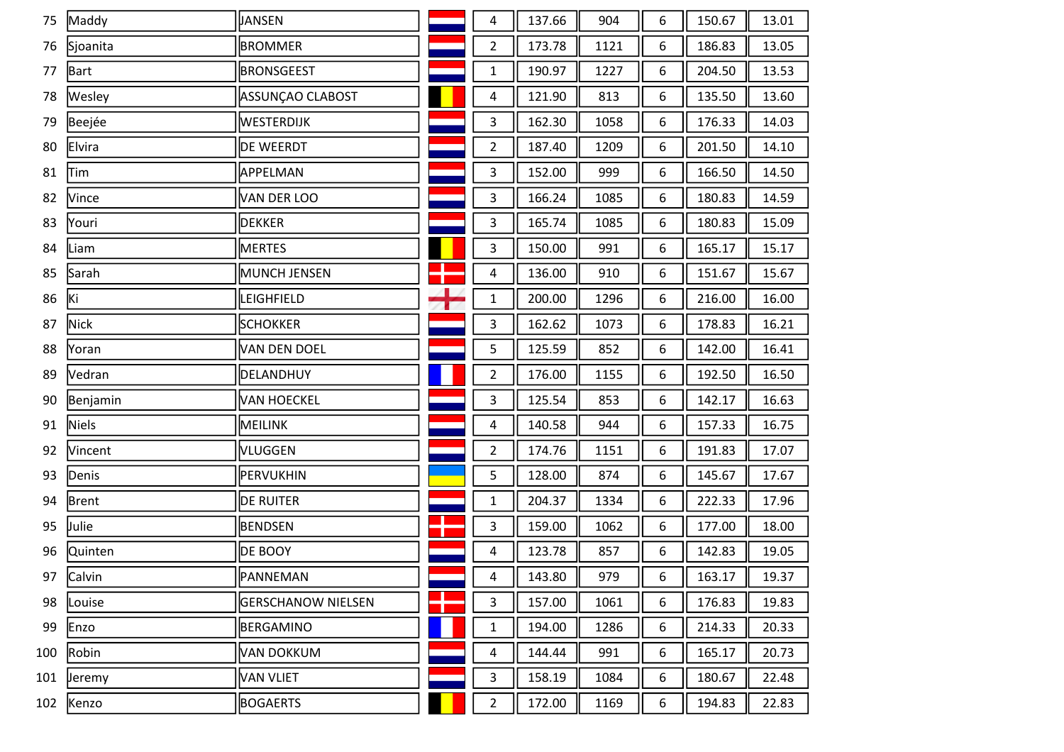| 75  | Maddy         | JANSEN                    |                   | 4                       | 137.66 | 904  | 6               | 150.67 | 13.01 |
|-----|---------------|---------------------------|-------------------|-------------------------|--------|------|-----------------|--------|-------|
| 76  | Sjoanita      | <b>BROMMER</b>            |                   | $\overline{2}$          | 173.78 | 1121 | 6               | 186.83 | 13.05 |
| 77  | Bart          | <b>BRONSGEEST</b>         |                   | 1                       | 190.97 | 1227 | 6               | 204.50 | 13.53 |
| 78  | Wesley        | ASSUNÇAO CLABOST          |                   | 4                       | 121.90 | 813  | 6               | 135.50 | 13.60 |
| 79  | Beejée        | WESTERDIJK                |                   | $\mathbf{3}$            | 162.30 | 1058 | 6               | 176.33 | 14.03 |
| 80  | Elvira        | DE WEERDT                 |                   | $\overline{2}$          | 187.40 | 1209 | 6               | 201.50 | 14.10 |
| 81  | Tim           | APPELMAN                  |                   | 3                       | 152.00 | 999  | 6               | 166.50 | 14.50 |
| 82  | Vince         | VAN DER LOO               |                   | $\mathbf{3}$            | 166.24 | 1085 | 6               | 180.83 | 14.59 |
| 83  | Youri         | <b>DEKKER</b>             |                   | 3                       | 165.74 | 1085 | 6               | 180.83 | 15.09 |
| 84  | Liam          | MERTES                    |                   | 3                       | 150.00 | 991  | 6               | 165.17 | 15.17 |
| 85  | Sarah         | MUNCH JENSEN              |                   | 4                       | 136.00 | 910  | 6               | 151.67 | 15.67 |
| 86  | Ki            | LEIGHFIELD                | $\leftrightarrow$ | 1                       | 200.00 | 1296 | 6               | 216.00 | 16.00 |
| 87  | <b>Nick</b>   | <b>SCHOKKER</b>           |                   | 3                       | 162.62 | 1073 | 6               | 178.83 | 16.21 |
| 88  | Yoran         | VAN DEN DOEL              |                   | 5                       | 125.59 | 852  | 6               | 142.00 | 16.41 |
| 89  | Vedran        | DELANDHUY                 |                   | $\overline{2}$          | 176.00 | 1155 | 6               | 192.50 | 16.50 |
| 90  | Benjamin      | <b>VAN HOECKEL</b>        |                   | 3                       | 125.54 | 853  | 6               | 142.17 | 16.63 |
| 91  | Niels         | MEILINK                   |                   | 4                       | 140.58 | 944  | 6               | 157.33 | 16.75 |
| 92  | Vincent       | VLUGGEN                   |                   | $\overline{2}$          | 174.76 | 1151 | 6               | 191.83 | 17.07 |
| 93  | Denis         | PERVUKHIN                 |                   | 5                       | 128.00 | 874  | 6               | 145.67 | 17.67 |
| 94  | Brent         | <b>DE RUITER</b>          |                   | $\mathbf{1}$            | 204.37 | 1334 | 6               | 222.33 | 17.96 |
| 95  | Julie         | <b>BENDSEN</b>            |                   | 3                       | 159.00 | 1062 | 6               | 177.00 | 18.00 |
| 96  | Quinten       | <b>DE BOOY</b>            |                   | 4                       | 123.78 | 857  | 6               | 142.83 | 19.05 |
|     | 97 Calvin     | PANNEMAN                  |                   | $\overline{\mathbf{4}}$ | 143.80 | 979  | $6\overline{6}$ | 163.17 | 19.37 |
| 98  | Louise        | <b>GERSCHANOW NIELSEN</b> |                   | 3                       | 157.00 | 1061 | 6               | 176.83 | 19.83 |
| 99  | Enzo          | BERGAMINO                 |                   | 1                       | 194.00 | 1286 | 6               | 214.33 | 20.33 |
| 100 | Robin         | VAN DOKKUM                |                   | 4                       | 144.44 | 991  | 6               | 165.17 | 20.73 |
| 101 | <b>Jeremy</b> | VAN VLIET                 |                   | 3                       | 158.19 | 1084 | 6               | 180.67 | 22.48 |
| 102 | Kenzo         | <b>BOGAERTS</b>           |                   | $\overline{2}$          | 172.00 | 1169 | 6               | 194.83 | 22.83 |